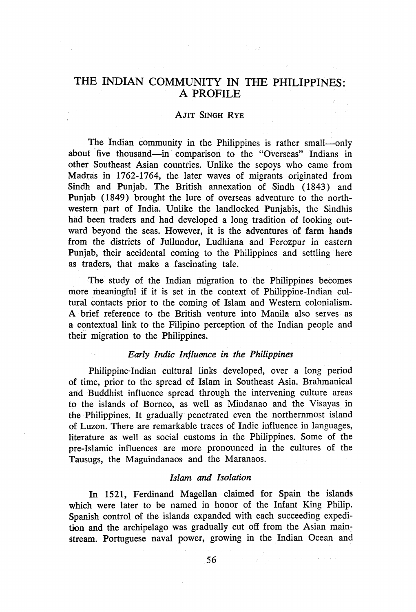# THE INDIAN COMMUNITY IN THE PHILIPPINES: A PROFILE

موج معادلته والمستعمل والمتعادل والمعادلة

#### AJIT SINGH RYE

The Indian community in the Philippines is rather small-only about five thousand-in comparison to the "Overseas" Indians in other Southeast Asian countries. Unlike the sepoys who came from Madras in 1762-1764, the later waves of migrants originated from Sindh and Punjab. The British annexation of Sindh (1843) and Punjab (1849) brought the lure of overseas adventure to the northwestern part of India. Unlike the landlocked Punjabis, the Sindhis had been traders and had developed a long tradition of looking outward beyond the seas. However, it is the adventures of farm hands from the districts of Jullundur, Ludhiana and Ferozpur in eastern Punjab, their accidental coming to the Philippines and settling here as traders, that make a fascinating tale.

The study of the Indian migration to the Philippines becomes more meaningful if it is set in the context of Philippine-Indian cultural contacts prior to the coming of Islam and Western colonialism. A brief reference to the British venture into Manila also serves as a contextual link to the Filipino perception of the Indian people and their migration to the Philippines.

# *Early Indic Influence in the Philippines*

Philippine-Indian cultural links developed, over a long period of time, prior to the spread of Islam in Southeast Asia. Brahmanical and Buddhist influence spread through the intervening culture areas to the islands of Borneo, as well as Mindanao and the Visayas in the Philippines. It gradually penetrated even the northernmost island of Luzon. There are remarkable traces of Indic influence in languages, literature as well as social customs in the Philippines. Some of the pre-Islamic influences are more pronounced in the cultures of the Tausugs, the Maguindanaos and the Maranaos.

# *Islam and Isolation*

In 1521, Ferdinand Magellan claimed for Spain the islands which were later to be named in honor of the Infant King Philip. Spanish control of the islands expanded with each succeeding expedition and the archipelago was gradually cut off from the Asian mainstream. Portuguese naval power, growing in the Indian Ocean and

 $\label{eq:2.1} \mathcal{L}(\mathcal{L}) = \mathcal{L}(\mathcal{L}) = \frac{1}{2} \sum_{i=1}^n \mathcal{L}(\mathcal{L}) \mathcal{L}(\mathcal{L}) = \mathcal{L}(\mathcal{L}) \mathcal{L}(\mathcal{L}) = \mathcal{L}(\mathcal{L}) \mathcal{L}(\mathcal{L}) = \mathcal{L}(\mathcal{L}) \mathcal{L}(\mathcal{L})$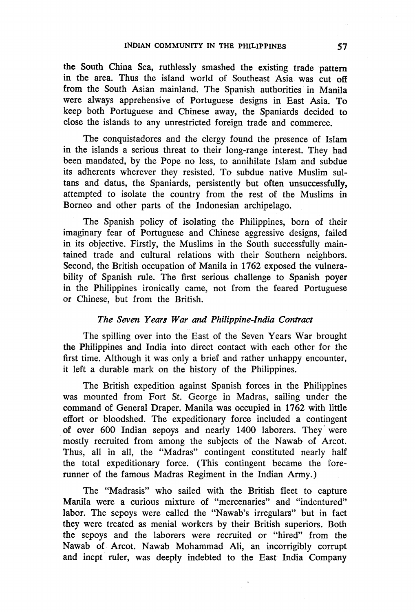the South China Sea, ruthlessly smashed the existing trade pattern in the area. Thus the island world of Southeast Asia was cut off from the South Asian mainland. The Spanish authorities in Manila were always apprehensive of Portuguese designs in East Asia. To keep both Portuguese and Chinese away, the Spaniards decided to close the islands to any unrestricted foreign trade and commerce.

The conquistadores and the clergy found the presence of Islam in the islands a serious threat to their long-range interest. They had been mandated, by the Pope no less, to annihilate Islam and subdue its adherents wherever they resisted. To subdue native Muslim sultans and datus, the Spaniards, persistently but often unsuccessfully, attempted to isolate the country from the rest of the Muslims in Borneo and other parts of the Indonesian archipelago.

The Spanish policy of isolating the Philippines, born of their imaginary fear of Portuguese and Chinese aggressive designs, failed in its objective. Firstly, the Muslims in the South successfully maintained trade and cultural relations with their Southern neighbors. Second, the British occupation of Manila in 1762 exposed the vulnerability of Spanish rule. The first serious challenge to Spanish poyer in the Philippines ironically came, not from the feared Portuguese or Chinese, but from the British.

### *The S8Ven Years War and Philippine-India Contract*

The spilling over into the East of the Seven Years War brought the Philippines and India into direct contact with each other for the first time. Although it was only a brief and rather unhappy encounter, it left a durable mark on the history of the Philippines.

The British expedition against Spanish forces in the Philippines was mounted from Fort St. George in Madras, sailing under the command of General Draper. Manila was occupied in 1762 with little effort or bloodshed. The expeditionary force included a contingent of over 600 Indian sepoys and nearly 1400 laborers. They· were mostly recruited from among the subjects of the Nawab of Arcot. Thus, all in all, the "Madras" contingent constituted nearly half the total expeditionary force. (This contingent became the forerunner of the famous Madras Regiment in the Indian Army.)

The "Madrasis" who sailed with the British fleet to capture Manila were a curious mixture of "mercenaries" and "indentured" labor. The sepoys were called the "Nawab's irregulars" but in fact they were treated as menial workers by their British superiors. Both the sepoys and the laborers were recruited or "hired" from the Nawab of Arcot. Nawab Mohammad Ali, an incorrigibly corrupt and inept ruler, was deeply indebted to the East India Company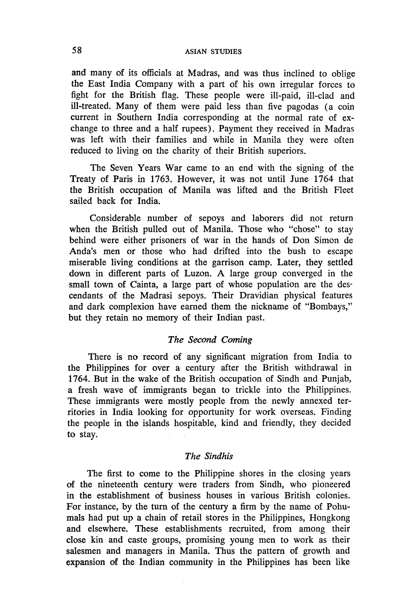and many of its officials at Madras, and was thus inclined to oblige the East India Company with a part of his own irregular forces to fight for the British flag. These people were ill-paid, ill-clad and ill-treated. Many of them were paid less than five pagodas (a coin current in Southern India corresponding at the normal rate of exchange to three and a half rupees). Payment they received in Madras was left with their families and while in Manila they were often reduced to living on the charity of their British superiors.

The Seven Years War came to an end with the signing of the Treaty of Paris in 1763. However, it was not until June 1764 that the British occupation of Manila was lifted and the British Fleet sailed back for India.

Considerable number of sepoys and laborers did not return when the British pulled out of Manila. Those who "chose" to stay behind were either prisoners of war in the hands of Don Simon de Anda's men or those who had drifted into the bush to escape miserable living conditions at the garrison camp. Later, they settled down in different parts of Luzon. A large group converged in the small town of Cainta, a large part of whose population are the descendants of the Madrasi sepoys. Their Dravidian physical features and dark complexion have earned them the nickname of "Bombays," but they retain no memory of their Indian past.

# *The Second Coming*

There is no record of any significant migration from India to the Philippines for over a century after the British withdrawal in 1764. But in the wake of the British occupation of Sindh and Punjab, a fresh wave of immigrants began to trickle into the Philippines. These immigrants were mostly people from the newly annexed territories in India looking for opportunity for work overseas. Finding the people in the islands hospitable, kind and friendly, they decided to stay.

#### *The Sindhis*

The first to come to the Philippine shores in the closing years of the nineteenth century were traders from Sindh, who pioneered in the establishment of business houses in various British colonies. For instance, by the tum of the century a firm by the name of Pohumals had put up a chain of retail stores in the Philippines, Hongkong and elsewhere. These establishments recruited, from among their close kin and caste groups, promising young men to work as their salesmen and managers in Manila. Thus the pattern of growth and expansion of the Indian community in the Philippines has been like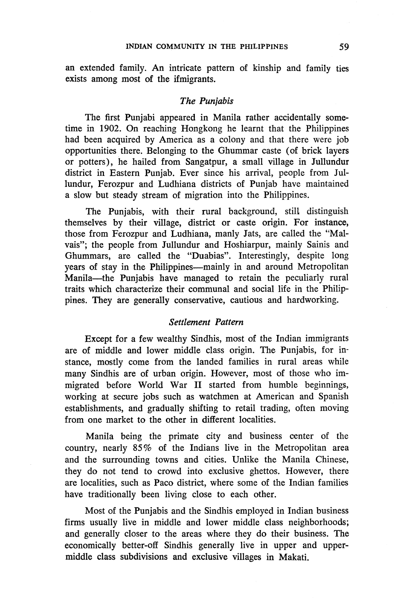an extended family. An intricate pattern of kinship and family ties exists among most of the ifmigrants.

#### *The Punjabis*

The first Punjabi appeared in Manila rather accidentally sometime in 1902. On reaching Hongkong he learnt that the Philippines had been acquired by America as a colony and that there were job opportunities there. Belonging to the Ghummar caste (of brick layers or potters), he hailed from Sangatpur, a small village in Jullundur district in Eastern Punjab. Ever since his arrival, people from Jullundur, Ferozpur and Ludhiana districts of Punjab have maintained a slow but steady stream of migration into the Philippines.

The Punjabis, with their rural background, still distinguish themselves by their village, district or caste origin. For instance, those from Ferozpur and Ludhiana, manly Jats, are called the "Malvais"; the people from Jullundur and Hoshiarpur, mainly Sainis and Ghummars, are called the "Duabias". Interestingly, despite long years of stay in the Philippines-mainly in and around Metropolitan Manila-the Punjabis have managed to retain the peculiarly rural traits which characterize their communal and social life in the Philippines. They are generally conservative, cautious and hardworking.

#### *Settlement Pattern*

Except for a few wealthy Sindhis, most of the Indian immigrants are of middle and lower middle class origin. The Punjabis, for instance, mostly come from the landed families in rural areas while many Sindhis are of urban origin. However, most of those who immigrated before World War II started from humble beginnings, working at secure jobs such as watchmen at American and Spanish establishments, and gradually shifting to retail trading, often moving from one market to the other in different localities.

Manila being the primate city and business center of the country, nearly 85% of the Indians live in the Metropolitan area and the surrounding towns and cities. Unlike the Manila Chinese, they do not tend to crowd into exclusive ghettos. However, there are localities, such as Paco district, where some of the Indian families have traditionally been living close to each other.

Most of the Punjabis and the Sindhis employed in Indian business firms usually live in middle and lower middle class neighborhoods; and generally closer to the areas where they do their business. The economically better-off Sindhis generally live in upper and uppermiddle class subdivisions and exclusive villages in Makati.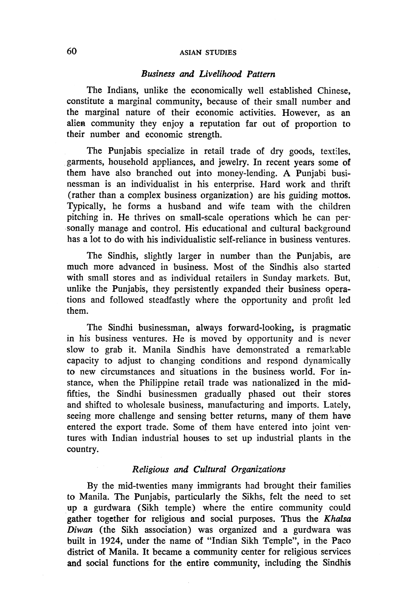#### *Business and Livelihood Pattern*

The Indians, unlike the economically well established Chinese, constitute a marginal community, because of their small number and the marginal nature of their economic activities. However, as an alien community they enjoy a reputation far out of proportion to their number and economic strength.

The Punjabis specialize in retail trade of dry goods, textiles, garments, household appliances, and jewelry. In recent years some of them have also branched out into money-lending. A Punjabi businessman is an individualist in his enterprise. Hard work and thrift (rather than a complex business organization) are his guiding mottos. Typically, he forms a husband and wife team with the children pitching in. He thrives on small-scale operations which he can personally manage and control. His educational and cultural background has a lot to do with his individualistic self-reliance in business ventures.

The Sindhis, slightly larger in number than the Punjabis, are much more advanced in business. Most of the Sindhis also started with small stores and as individual retailers in Sunday markets. But, unlike the Punjabis, they persistently expanded their business operations and followed steadfastly where the opportunity and profit led them.

The Sindhi businessman, always forward-looking, is pragmatic in his business ventures. He is moved by opportunity and is never slow to grab it. Manila Sindhis have demonstrated a remarkable capacity to adjust to changing conditions and respond dynamically to new circumstances and situations in the business world. For instance, when the Philippine retail trade was nationalized in the midfifties, the Sindhi businessmen gradually phased out their stores and shifted to wholesale business, manufacturing and imports. Lately, seeing more challenge and sensing better returns, many of them have entered the export trade. Some of them have entered into joint ventures with Indian industrial houses to set up industrial plants in the country.

### *Religious and Cultural Organizations*

By the mid-twenties many immigrants had brought their families to Manila. The Punjabis, particularly the Sikhs, felt the need to set up a gurdwara (Sikh temple) where the entire community could gather together for religious and social purposes. Thus the *Khalsa Diwan* (the Sikh association) was organized and a gurdwara was built in 1924, under the name of "Indian Sikh Temple", in the Paco district of Manila. It became a community center for religious services and social functions for the entire community, including the Sindhis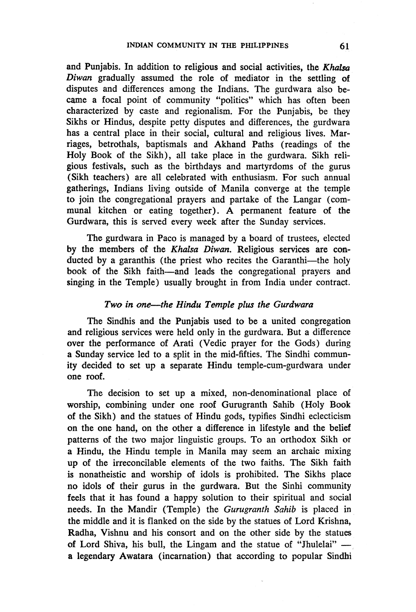and Punjabis. In addition to religious and social activities, the *Khalsa Diwan* gradually assumed the role of mediator in the settling of disputes and differences among the Indians. The gurdwara also became a focal point of community "politics" which has often been characterized by caste and regionalism. For the Punjabis, be they Sikhs or Hindus, despite petty disputes and differences, the gurdwara has a central place in their social, cultural and religious lives. Marriages, betrothals, baptismals and Akhand Paths (readings of the Holy Book of the Sikh), all take place in the gurdwara. Sikh religious festivals, such as the birthdays and martyrdoms of the gurus (Sikh teachers) are all celebrated with enthusiasm. For such annual gatherings, Indians living outside of Manila converge at the temple to join the congregational prayers and partake of the Langar (communal kitchen or eating together). A permanent feature of the Gurdwara, this is served every week after the Sunday services.

The gurdwara in Paco is managed by a board of trustees, elected by the members of the *Khalsa Diwan.* Religious services are conducted by a garanthis (the priest who recites the Garanthi-the holy book of the Sikh faith-and leads the congregational prayers and singing in the Temple) usually brought in from India under contract.

### *Two in one-the Hindu Temple plus the Gurdwara*

The Sindhis and the Punjabis used to be a united congregation and religious services were held only in the gurdwara. But a difference over the performance of Arati (Vedic prayer for the Gods) during a Sunday service led to a split in the mid-fifties. The Sindhi community decided to set up a separate Hindu temple-cum-gurdwara under one roof.

The decision to set up a mixed, non-denominational place of worship, combining under one roof Gurugranth Sahib (Holy Book of the Sikh) and the statues of Hindu gods, typifies Sindhi eclecticism on the one hand, on the other a difference in lifestyle and the belief patterns of the two major linguistic groups. To an orthodox Sikh or a Hindu, the Hindu temple in Manila may seem an archaic mixing up of the irreconcilable elements of the two faiths. The Sikh faith is nonatheistic and worship of idols is prohibited. The Sikhs place no idols of their gurus in the gurdwara. But the Sinhi community feels that it has found a happy solution to their spiritual and social needs. In the Mandir (Temple) the *Gurugranth Sahib* is placed in the middle and it is flanked on the side by the statues of Lord Krishna, Radha, Vishnu and his consort and on the other side by the statues of Lord Shiva, his bull, the Lingam and the statue of "Jhulelai"  $$ a legendary Awatara (incarnation) that according to popular Sindhi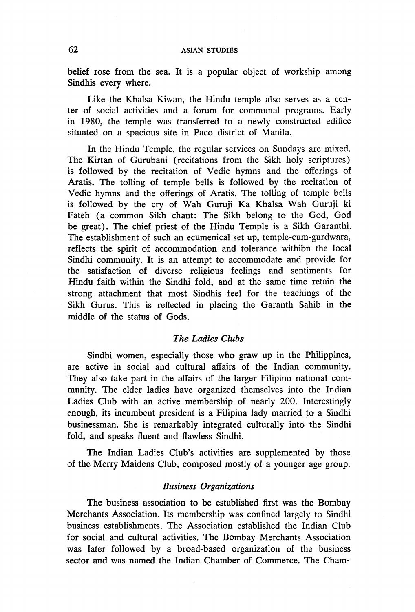belief rose from the sea. It is a popular object of workship among Sindhis every where.

Like the Khalsa Kiwan, the Hindu temple also serves as a center of social activities and a forum for communal programs. Early in 1980, the temple was transferred to a newly constructed edifice situated on a spacious site in Paco district of Manila.

In the Hindu Temple, the regular services on Sundays are mixed. The Kirtan of Gurubani (recitations from the Sikh holy scriptures) is followed by the recitation of Vedic hymns and the offerings of Aratis. The tolling of temple bells is followed by the recitation of Vedic hymns and the offerings of Aratis. The tolling of temple bells is followed by the cry of Wah Guruji Ka Khalsa Wah Guruji ki Fateh (a common Sikh chant: The Sikh belong to the God, God be great). The chief priest of the Hindu Temple is a Sikh Garanthi. The establishment of such an ecumenical set up, temple-cum-gurdwara, reflects the spirit of accommodation and tolerance withibn the local Sindhi community. It is an attempt to accommodate and provide for the satisfaction of diverse religious feelings and sentiments for Hindu faith within the Sindhi fold, and at the same time retain the strong attachment that most Sindhis feel for the teachings of the Sikh Gurus. This is reflected in placing the Garanth Sahib in the middle of the status of Gods.

### *The Ladies Clubs*

Sindhi women, especially those who graw up in the Philippines, are active in social and cultural affairs of the Indian community: They also take part in the affairs of the larger Filipino national community. The elder ladies have organized themselves into the Indian Ladies Club with an active membership of nearly 200. Interestingly enough, its incumbent president is a Filipina lady married to a Sindhi businessman. She is remarkably integrated culturally into the Sindhi fold, and speaks fluent and flawless Sindhi.

The Indian Ladies Club's activities are supplemented by those of the Merry Maidens Club, composed mostly of a younger age group.

#### *Business Organizations*

The business association to be established first was the Bombay Merchants Association. Its membership was confined largely to Sindhi business establishments. The Association established the Indian Club for social and cultural activities. The Bombay Merchants Association was later followed by a broad-based organization of the business sector and was named the Indian Chamber of Commerce. The Cham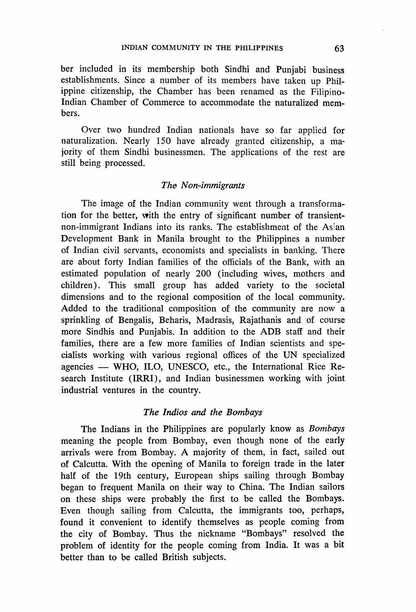ber included in its membership both Sindhi and Punjabi business establishments. Since a number of its members have taken up Philippine citizenship, the Chamber has been renamed as the Filipino-Indian Chamber of Commerce to accommodate the naturalized members.

Over two hundred Indian nationals have so far applied for naturalization. Nearly 150 have already granted citizenship, a majority of them Sindhi businessmen. The applications of the rest are still being processed.

#### *The Non-immigrants*

The image of the Indian community went through a transformation for the better, with the entry of significant number of transientnon-immigrant Indians into its ranks. The establishment of the Asian Development Bank in Manila brought to the Philippines a number of Indian civil servants, economists and specialists in banking. There are about forty Indian families of the officials of the Bank, with an estimated population of nearly 200 (including wives, mothers and children). This small group has added variety to the societal dimensions and to the regional composition of the local community. Added to the traditional composition of the community are now a sprinkling of Bengalis, Beharis, Madrasis, Rajathanis and of course more Sindhis and Punjabis. In addition to the ADB staff and their families, there are a few more families of Indian scientists and specialists working with various regional offices of the UN specialized agencies - WHO, ILO, UNESCO, etc., the International Rice Research Institute (IRRI), and Indian businessmen working with joint industrial ventures in the country.

#### *The Indios and the Bombays*

The Indians in the Philippines are popularly know as *Bombays*  meaning the people from Bombay, even though none of the early arrivals were from Bombay. A majority of them, in fact, sailed out of Calcutta. With the opening of Manila to foreign trade in the later half of the 19th century, European ships sailing through Bombay began to frequent Manila on their way to China. The Indian sailors on these ships were probably the first to be called the Bombays. Even though sailing from Calcutta, the immigrants too, perhaps, found it convenient to identify themselves as people coming from the city of Bombay. Thus the nickname "Bombays" resolved the problem of identity for the people coming from India. It was a bit better than to be called British subjects.